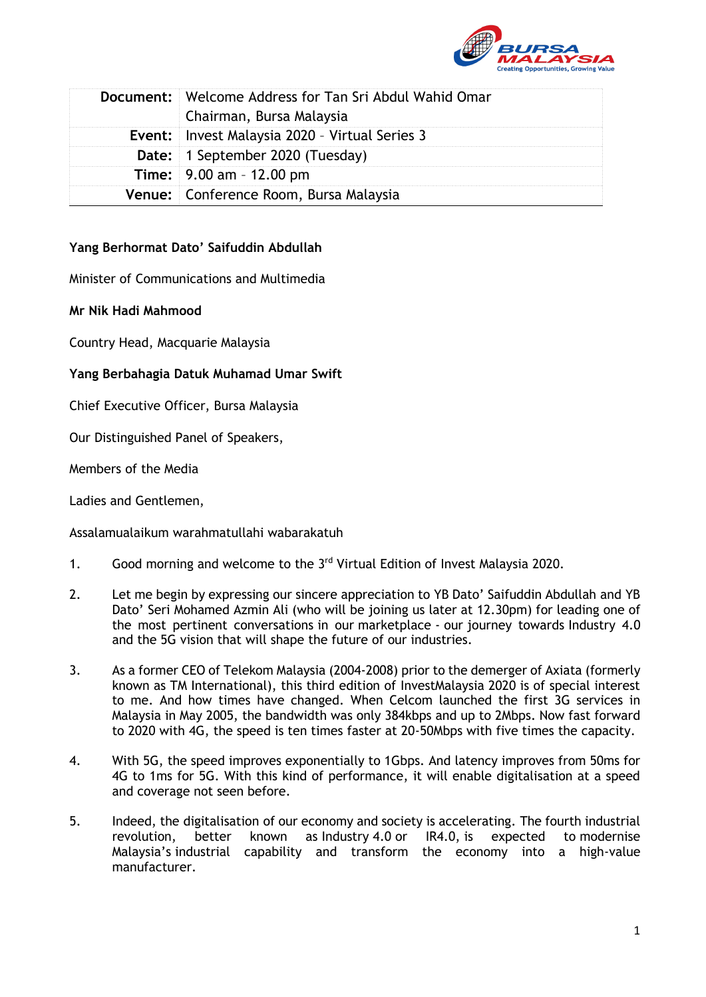

| <b>Document:</b> Welcome Address for Tan Sri Abdul Wahid Omar<br>Chairman, Bursa Malaysia |
|-------------------------------------------------------------------------------------------|
| <b>Event:</b> Invest Malaysia 2020 - Virtual Series 3                                     |
| Date: 1 September 2020 (Tuesday)                                                          |
| <b>Time:</b> $9.00 \text{ am} - 12.00 \text{ pm}$                                         |
| Venue: Conference Room, Bursa Malaysia                                                    |

## **Yang Berhormat Dato' Saifuddin Abdullah**

Minister of Communications and Multimedia

**Mr Nik Hadi Mahmood**

Country Head, Macquarie Malaysia

## **Yang Berbahagia Datuk Muhamad Umar Swift**

Chief Executive Officer, Bursa Malaysia

Our Distinguished Panel of Speakers,

Members of the Media

Ladies and Gentlemen,

Assalamualaikum warahmatullahi wabarakatuh

- 1. Good morning and welcome to the 3<sup>rd</sup> Virtual Edition of Invest Malaysia 2020.
- 2. Let me begin by expressing our sincere appreciation to YB Dato' Saifuddin Abdullah and YB Dato' Seri Mohamed Azmin Ali (who will be joining us later at 12.30pm) for leading one of the most pertinent conversations in our marketplace - our journey towards Industry 4.0 and the 5G vision that will shape the future of our industries.
- 3. As a former CEO of Telekom Malaysia (2004-2008) prior to the demerger of Axiata (formerly known as TM International), this third edition of InvestMalaysia 2020 is of special interest to me. And how times have changed. When Celcom launched the first 3G services in Malaysia in May 2005, the bandwidth was only 384kbps and up to 2Mbps. Now fast forward to 2020 with 4G, the speed is ten times faster at 20-50Mbps with five times the capacity.
- 4. With 5G, the speed improves exponentially to 1Gbps. And latency improves from 50ms for 4G to 1ms for 5G. With this kind of performance, it will enable digitalisation at a speed and coverage not seen before.
- 5. Indeed, the digitalisation of our economy and society is accelerating. The fourth industrial revolution, better known as Industry 4.0 or IR4.0, is expected to modernise Malaysia's industrial capability and transform the economy into a high-value manufacturer.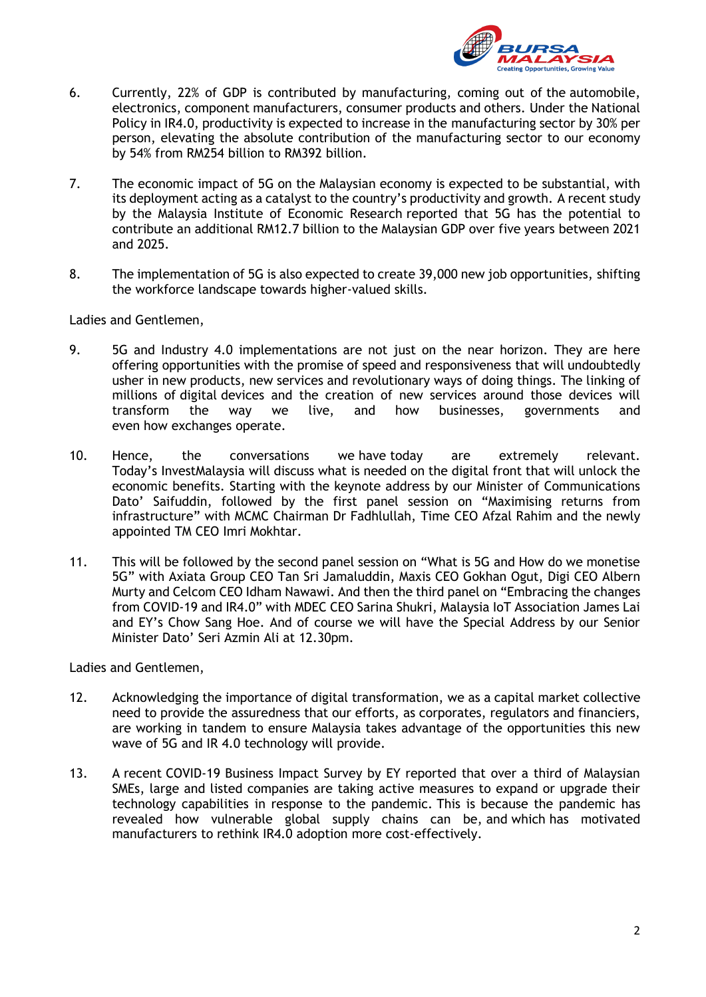

- 6. Currently, 22% of GDP is contributed by manufacturing, coming out of the automobile, electronics, component manufacturers, consumer products and others. Under the National Policy in IR4.0, productivity is expected to increase in the manufacturing sector by 30% per person, elevating the absolute contribution of the manufacturing sector to our economy by 54% from RM254 billion to RM392 billion.
- 7. The economic impact of 5G on the Malaysian economy is expected to be substantial, with its deployment acting as a catalyst to the country's productivity and growth. A recent study by the Malaysia Institute of Economic Research reported that 5G has the potential to contribute an additional RM12.7 billion to the Malaysian GDP over five years between 2021 and 2025.
- 8. The implementation of 5G is also expected to create 39,000 new job opportunities, shifting the workforce landscape towards higher-valued skills.

Ladies and Gentlemen,

- 9. 5G and Industry 4.0 implementations are not just on the near horizon. They are here offering opportunities with the promise of speed and responsiveness that will undoubtedly usher in new products, new services and revolutionary ways of doing things. The linking of millions of digital devices and the creation of new services around those devices will transform the way we live, and how businesses, governments and even how exchanges operate.
- 10. Hence, the conversations we have today are extremely relevant. Today's InvestMalaysia will discuss what is needed on the digital front that will unlock the economic benefits. Starting with the keynote address by our Minister of Communications Dato' Saifuddin, followed by the first panel session on "Maximising returns from infrastructure" with MCMC Chairman Dr Fadhlullah, Time CEO Afzal Rahim and the newly appointed TM CEO Imri Mokhtar.
- 11. This will be followed by the second panel session on "What is 5G and How do we monetise 5G" with Axiata Group CEO Tan Sri Jamaluddin, Maxis CEO Gokhan Ogut, Digi CEO Albern Murty and Celcom CEO Idham Nawawi. And then the third panel on "Embracing the changes from COVID-19 and IR4.0" with MDEC CEO Sarina Shukri, Malaysia IoT Association James Lai and EY's Chow Sang Hoe. And of course we will have the Special Address by our Senior Minister Dato' Seri Azmin Ali at 12.30pm.

Ladies and Gentlemen,

- 12. Acknowledging the importance of digital transformation, we as a capital market collective need to provide the assuredness that our efforts, as corporates, regulators and financiers, are working in tandem to ensure Malaysia takes advantage of the opportunities this new wave of 5G and IR 4.0 technology will provide.
- 13. A recent COVID-19 Business Impact Survey by EY reported that over a third of Malaysian SMEs, large and listed companies are taking active measures to expand or upgrade their technology capabilities in response to the pandemic. This is because the pandemic has revealed how vulnerable global supply chains can be, and which has motivated manufacturers to rethink IR4.0 adoption more cost-effectively.